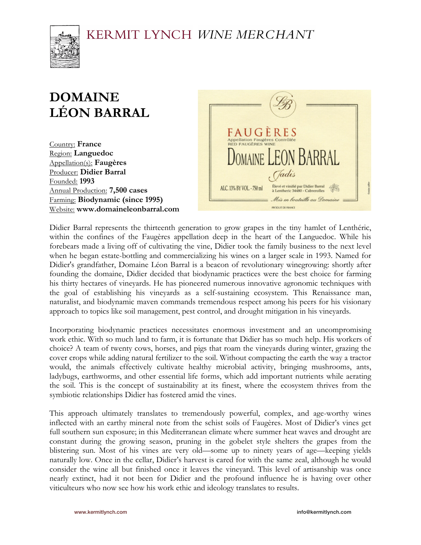

# **DOMAINE LÉON BARRAL**

Country: **France** Region: **Languedoc** Appellation(s): **Faugères** Producer: **Didier Barral** Founded: **1993** Annual Production: **7,500 cases** Farming: **Biodynamic (since 1995)** Website: **www.domaineleonbarral.com**



Didier Barral represents the thirteenth generation to grow grapes in the tiny hamlet of Lenthéric, within the confines of the Faugères appellation deep in the heart of the Languedoc. While his forebears made a living off of cultivating the vine, Didier took the family business to the next level when he began estate-bottling and commercializing his wines on a larger scale in 1993. Named for Didier's grandfather, Domaine Léon Barral is a beacon of revolutionary winegrowing: shortly after founding the domaine, Didier decided that biodynamic practices were the best choice for farming his thirty hectares of vineyards. He has pioneered numerous innovative agronomic techniques with the goal of establishing his vineyards as a self-sustaining ecosystem. This Renaissance man, naturalist, and biodynamic maven commands tremendous respect among his peers for his visionary approach to topics like soil management, pest control, and drought mitigation in his vineyards.

Incorporating biodynamic practices necessitates enormous investment and an uncompromising work ethic. With so much land to farm, it is fortunate that Didier has so much help. His workers of choice? A team of twenty cows, horses, and pigs that roam the vineyards during winter, grazing the cover crops while adding natural fertilizer to the soil. Without compacting the earth the way a tractor would, the animals effectively cultivate healthy microbial activity, bringing mushrooms, ants, ladybugs, earthworms, and other essential life forms, which add important nutrients while aerating the soil. This is the concept of sustainability at its finest, where the ecosystem thrives from the symbiotic relationships Didier has fostered amid the vines.

This approach ultimately translates to tremendously powerful, complex, and age-worthy wines inflected with an earthy mineral note from the schist soils of Faugères. Most of Didier's vines get full southern sun exposure; in this Mediterranean climate where summer heat waves and drought are constant during the growing season, pruning in the gobelet style shelters the grapes from the blistering sun. Most of his vines are very old—some up to ninety years of age—keeping yields naturally low. Once in the cellar, Didier's harvest is cared for with the same zeal, although he would consider the wine all but finished once it leaves the vineyard. This level of artisanship was once nearly extinct, had it not been for Didier and the profound influence he is having over other viticulteurs who now see how his work ethic and ideology translates to results.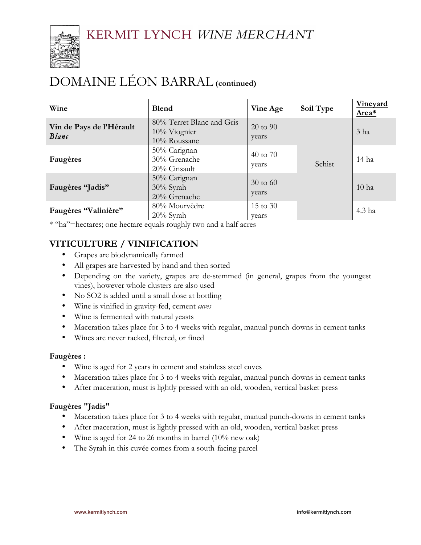

# DOMAINE LÉON BARRAL **(continued)**

| Wine                              | <b>Blend</b>                                                 | <b>Vine Age</b>              | <b>Soil Type</b> | Vineyard<br>Area* |
|-----------------------------------|--------------------------------------------------------------|------------------------------|------------------|-------------------|
| Vin de Pays de l'Hérault<br>Blanc | 80% Terret Blanc and Gris<br>$10\%$ Viognier<br>10% Roussane | 20 to 90<br>years            | Schist           | 3 <sub>ha</sub>   |
| Faugères                          | 50% Carignan<br>30% Grenache<br>20% Cinsault                 | 40 to 70<br>years            |                  | 14 ha             |
| Faugères "Jadis"                  | 50% Carignan<br>30% Syrah<br>20% Grenache                    | $30 \text{ to } 60$<br>years |                  | 10 <sub>ha</sub>  |
| Faugères "Valinière"              | 80% Mourvèdre<br>20% Syrah                                   | $15 \text{ to } 30$<br>years |                  | 4.3 ha            |

\* "ha"=hectares; one hectare equals roughly two and a half acres

## **VITICULTURE / VINIFICATION**

- Grapes are biodynamically farmed
- All grapes are harvested by hand and then sorted
- Depending on the variety, grapes are de-stemmed (in general, grapes from the youngest vines), however whole clusters are also used
- No SO2 is added until a small dose at bottling
- Wine is vinified in gravity-fed, cement *cuves*
- Wine is fermented with natural yeasts
- Maceration takes place for 3 to 4 weeks with regular, manual punch-downs in cement tanks
- Wines are never racked, filtered, or fined

#### **Faugères :**

- Wine is aged for 2 years in cement and stainless steel cuves
- Maceration takes place for 3 to 4 weeks with regular, manual punch-downs in cement tanks
- After maceration, must is lightly pressed with an old, wooden, vertical basket press

#### **Faugères "Jadis"**

- Maceration takes place for 3 to 4 weeks with regular, manual punch-downs in cement tanks
- After maceration, must is lightly pressed with an old, wooden, vertical basket press
- Wine is aged for 24 to 26 months in barrel (10% new oak)
- The Syrah in this cuvée comes from a south-facing parcel